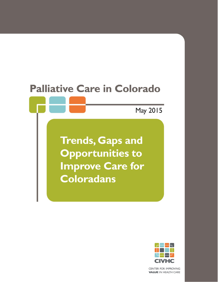# **Palliative Care in Colorado**

May 2015

**Trends, Gaps and Opportunities to Improve Care for Coloradans** 



CENTER FOR IMPROVING **VALUE IN HEALTH CARE**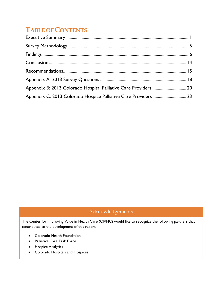## **TABLE OF CONTENTS**

| Appendix B: 2013 Colorado Hospital Palliative Care Providers  20 |  |
|------------------------------------------------------------------|--|
| Appendix C: 2013 Colorado Hospice Palliative Care Providers 23   |  |

### Acknowledgements

The Center for Improving Value in Health Care (CIVHC) would like to recognize the following partners that contributed to the development of this report:

- Colorado Health Foundation
- Palliative Care Task Force
- **•** Hospice Analytics
- Colorado Hospitals and Hospices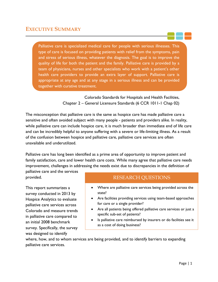<span id="page-2-0"></span>Palliative care is specialized medical care for people with serious illnesses. This type of care is focused on providing patients with relief from the symptoms, pain and stress of serious illness, whatever the diagnosis. The goal is to improve the quality of life for both the patient and the family. Palliative care is provided by a team of physicians, nurses and other specialists who work with a patient's other health care providers to provide an extra layer of support. Palliative care is appropriate at any age and at any stage in a serious illness and can be provided together with curative treatment.

> Colorado Standards for Hospitals and Health Facilities, Chapter 2 – General Licensure Standards (6 CCR 1011-1 Chap 02)

The misconception that palliative care is the same as hospice care has made palliative care a sensitive and often avoided subject with many people - patients and providers alike. In reality, while palliative care can include hospice care, it is much broader than immediate end of life care and can be incredibly helpful to anyone suffering with a severe or life-limiting illness. As a result of the confusion between hospice and palliative care, palliative care services are often unavailable and underutilized.

Palliative care has long been identified as a prime area of opportunity to improve patient and family satisfaction, care and lower health care costs. While many agree that palliative care needs improvement, challenges in addressing the needs exist due to discrepancies in the definition of

palliative care and the services provided.

This report summarizes a survey conducted in 2013 by Hospice Analytics to evaluate palliative care services across Colorado and measure trends in palliative care compared to an initial 2008 benchmark survey. Specifically, the survey was designed to identify

### RESEARCH QUESTIONS

- Where are palliative care services being provided across the state?
- Are facilities providing services using team-based approaches for care or a single provider?
- Are all patients being offered palliative care services or just a specific sub-set of patients?
- Is palliative care reimbursed by insurers or do facilities see it as a cost of doing business?

where, how, and to whom services are being provided, and to identify barriers to expanding palliative care services.

Ξ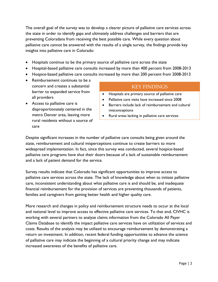The overall goal of the survey was to develop a clearer picture of palliative care services across the state in order to identify gaps and ultimately address challenges and barriers that are preventing Coloradans from receiving the best possible care. While every question about palliative care cannot be answered with the results of a single survey, the findings provide key insights into palliative care in Colorado:

- Hospitals continue to be the primary source of palliative care across the state
- Hospital-based palliative care consults increased by more than 400 percent from 2008-2013
- Hospice-based palliative care consults increased by more than 200 percent from 2008-2013
- Reimbursement continues to be a concern and creates a substantial barrier to expanded service from all providers
- Access to palliative care is disproportionately centered in the metro Denver area, leaving more rural residents without a source of care

#### KEY FINDINGS

- Hospitals are primary source of palliative care
- Palliative care visits have increased since 2008
- Barriers include lack of reimbursement and cultural misconceptions
- Rural areas lacking in palliative care services

Despite significant increases in the number of palliative care consults being given around the state, reimbursement and cultural misperceptions continue to create barriers to more widespread implementation. In fact, since this survey was conducted, several hospice-based palliative care programs have shut their doors because of a lack of sustainable reimbursement and a lack of patient demand for the service.

Survey results indicate that Colorado has significant opportunities to improve access to palliative care services across the state. The lack of knowledge about when to initiate palliative care, inconsistent understanding about what palliative care is and should be, and inadequate financial reimbursement for the provision of services are preventing thousands of patients, families and caregivers from gaining better health and higher quality care.

More research and changes in policy and reimbursement structure needs to occur at the local and national level to improve access to effective palliative care services. To that end, CIVHC is working with several partners to analyze claims information from the Colorado All Payer Claims Database to identify the impact palliative care services have on utilization of services and costs. Results of the analysis may be utilized to encourage reimbursement by demonstrating a return on investment. In addition, recent federal funding opportunities to advance the science of palliative care may indicate the beginning of a cultural priority change and may indicate increased awareness of the benefits of palliative care.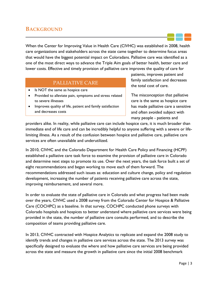### **BACKGROUND**

When the Center for Improving Value in Health Care (CIVHC) was established in 2008, health care organizations and stakeholders across the state came together to determine focus areas that would have the biggest potential impact on Coloradans. Palliative care was identified as a one of the most direct ways to advance the Triple Aim goals of better health, better care and lower costs. Effective and timely provision of palliative care improves the quality of care for

### PALLIATIVE CARE

- Is NOT the same as hospice care
- Provided to alleviate pain, symptoms and stress related to severe illnesses
- Improves quality of life, patient and family satisfaction and decreases costs

patients, improves patient and family satisfaction and decreases the total cost of care.

The misconception that palliative care is the same as hospice care has made palliative care a sensitive and often avoided subject with many people - patients and

providers alike. In reality, while palliative care can include hospice care, it is much broader than immediate end of life care and can be incredibly helpful to anyone suffering with a severe or lifelimiting illness. As a result of the confusion between hospice and palliative care, palliative care services are often unavailable and underutilized.

In 2010, CIVHC and the Colorado Department for Health Care Policy and Financing (HCPF) established a palliative care task force to examine the provision of palliative care in Colorado and determine next steps to promote its use. Over the next years, the task force built a set of eight recommendations and began working to move each of them forward. The recommendations addressed such issues as: education and culture change, policy and regulation development, increasing the number of patients receiving palliative care across the state, improving reimbursement, and several more.

In order to evaluate the state of palliative care in Colorado and what progress had been made over the years, CIVHC used a 2008 survey from the Colorado Center for Hospice & Palliative Care (COCHPC) as a baseline. In that survey, COCHPC conducted phone surveys with Colorado hospitals and hospices to better understand where palliative care services were being provided in the state, the number of palliative care consults performed, and to describe the composition of teams providing palliative care.

In 2013, CIVHC contracted with Hospice Analytics to replicate and expand the 2008 study to identify trends and changes in palliative care services across the state. The 2013 survey was specifically designed to evaluate the where and how palliative care services are being provided across the state and measure the growth in palliative care since the initial 2008 benchmark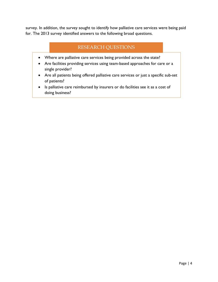survey. In addition, the survey sought to identify how palliative care services were being paid for. The 2013 survey identified answers to the following broad questions.

### RESEARCH QUESTIONS

- Where are palliative care services being provided across the state?
- Are facilities providing services using team-based approaches for care or a single provider?
- Are all patients being offered palliative care services or just a specific sub-set of patients?
- Is palliative care reimbursed by insurers or do facilities see it as a cost of doing business?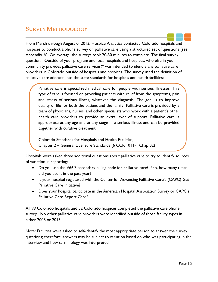### <span id="page-6-0"></span>**SURVEY METHODOLOGY**

From March through August of 2013, Hospice Analytics contacted Colorado hospitals and hospices to conduct a phone survey on palliative care using a structured set of questions (see Appendix A). On average, the surveys took 20-30 minutes to complete. The final survey question, "Outside of your program and local hospitals and hospices, who else in your community provides palliative care services?" was intended to identify any palliative care providers in Colorado outside of hospitals and hospices. The survey used the definition of palliative care adopted into the state standards for hospitals and health facilities:

Palliative care is specialized medical care for people with serious illnesses. This type of care is focused on providing patients with relief from the symptoms, pain and stress of serious illness, whatever the diagnosis. The goal is to improve quality of life for both the patient and the family. Palliative care is provided by a team of physicians, nurses, and other specialists who work with a patient's other health care providers to provide an extra layer of support. Palliative care is appropriate at any age and at any stage in a serious illness and can be provided together with curative treatment.

Colorado Standards for Hospitals and Health Facilities, Chapter 2 – General Licensure Standards (6 CCR 1011-1 Chap 02)

Hospitals were asked three additional questions about palliative care to try to identify sources of variation in reporting:

- Do you use the V66.7 secondary billing code for palliative care? If so, how many times did you use it in the past year?
- Is your hospital registered with the Center for Advancing Palliative Care's (CAPC) Get Palliative Care Initiative?
- Does your hospital participate in the American Hospital Association Survey or CAPC's Palliative Care Report Card?

All 99 Colorado hospitals and 52 Colorado hospices completed the palliative care phone survey. No other palliative care providers were identified outside of those facility types in either 2008 or 2013.

Note: Facilities were asked to self-identify the most appropriate person to answer the survey questions; therefore, answers may be subject to variation based on who was participating in the interview and how terminology was interpreted.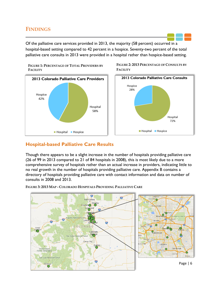### <span id="page-7-0"></span>**FINDINGS**

Of the palliative care services provided in 2013, the majority (58 percent) occurred in a hospital-based setting compared to 42 percent in a hospice. Seventy-two percent of the total palliative care consults in 2013 were provided in a hospital rather than hospice-based setting.

**FIGURE 1: PERCENTAGE OF TOTAL PROVIDERS BY FACILITY**



**FIGURE 2: 2013 PERCENTAGE OF CONSULTS BY FACILITY**



### **Hospital-based Palliative Care Results**

Though there appears to be a slight increase in the number of hospitals providing palliative care (26 of 99 in 2013 compared to 21 of 84 hospitals in 2008), this is most likely due to a more comprehensive survey of hospitals rather than an actual increase in providers, indicating little to no real growth in the number of hospitals providing palliative care. Appendix B contains a directory of hospitals providing palliative care with contact information and data on number of consults in 2008 and 2013.



**FIGURE 3: 2013 MAP - COLORADO HOSPITALS PROVIDING PALLIATIVE CARE**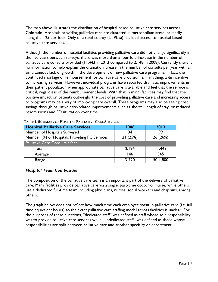The map above illustrates the distribution of hospital-based palliative care services across Colorado. Hospitals providing palliative care are clustered in metropolitan areas, primarily along the I-25 corridor. Only one rural county (La Plata) has local access to hospital-based palliative care services.

Although the number of hospital facilities providing palliative care did not change significantly in the five years between surveys, there was more than a four-fold increase in the number of palliative care consults provided (11,443 in 2013 compared to 2,148 in 2008). Currently there is no information to help explain the dramatic increase in the number of consults per year with a simultaneous lack of growth in the development of new palliative care programs. In fact, the continued shortage of reimbursement for palliative care provision is, if anything, a disincentive to increasing services. However, individual programs have reported dramatic improvements in their patient population when appropriate palliative care is available and feel that the service is critical, regardless of the reimbursement levels. With that in mind, facilities may find that the positive impact on patients outweighs the cost of providing palliative care and increasing access to programs may be a way of improving care overall. These programs may also be seeing cost savings through palliative care-related improvements such as shorter length of stay, or reduced readmissions and ED utilization over time.

| <b>Hospital Palliative Care Services</b>      | 2008      | 2013     |
|-----------------------------------------------|-----------|----------|
| Number of Hospitals Surveyed                  | 84        | 99       |
| Number (%) of Hospitals Providing PC Services | 21(25%)   | 26 (26%) |
| Palliative Care Consults / Year               |           |          |
| Total                                         | 2,184     | 11,443   |
| Average                                       | 146       | 545      |
| Range                                         | $3 - 720$ | 50-1,800 |

#### **TABLE 1: SUMMARY OF HOSPITAL PALLIATIVE CARE SERVICES**

#### *Hospital Team Composition*

The composition of the palliative care team is an important part of the delivery of palliative care. Many facilities provide palliative care via a single, part-time doctor or nurse, while others use a dedicated full-time team including physicians, nurses, social workers and chaplains, among others.

The graph below does not reflect how much time each employee spent in palliative care (i.e. full time equivalent hours) so the exact palliative care staffing model across facilities is unclear. For the purposes of these questions, "dedicated staff" was defined as staff whose sole responsibility was to provide palliative care services while "undedicated staff" was defined as those whose responsibilities are split between palliative care and another specialty or department.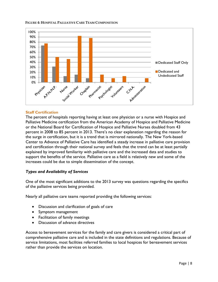#### **FIGURE 4: HOSPITAL PALLIATIVE CARE TEAM COMPOSITION**



#### **Staff Certification**

The percent of hospitals reporting having at least one physician or a nurse with Hospice and Palliative Medicine certification from the American Academy of Hospice and Palliative Medicine or the National Board for Certification of Hospice and Palliative Nurses doubled from 43 percent in 2008 to 85 percent in 2013. There's no clear explanation regarding the reason for the surge in certification, but it is a trend that is mirrored nationally. The New York-based Center to Advance of Palliative Care has identified a steady increase in palliative care provision and certification through their national survey and feels that the trend can be at least partially explained by improved familiarity with palliative care and the increased data and studies to support the benefits of the service. Palliative care as a field is relatively new and some of the increases could be due to simple dissemination of the concept.

#### *Types and Availability of Services*

One of the most significant additions to the 2013 survey was questions regarding the specifics of the palliative services being provided.

Nearly all palliative care teams reported providing the following services:

- Discussion and clarification of goals of care
- Symptom management
- Facilitation of family meetings
- Discussion of advance directives

Access to bereavement services for the family and care givers is considered a critical part of comprehensive palliative care and is included in the state definitions and regulations. Because of service limitations, most facilities referred families to local hospices for bereavement services rather than provide the services on location.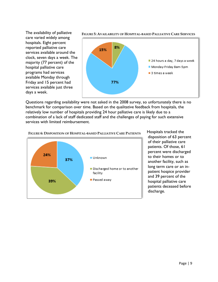

Questions regarding availability were not asked in the 2008 survey, so unfortunately there is no benchmark for comparison over time. Based on the qualitative feedback from hospitals, the relatively low number of hospitals providing 24 hour palliative care is likely due to a combination of a lack of staff dedicated staff and the challenges of paying for such extensive services with limited reimbursement.



Hospitals tracked the disposition of 63 percent of their palliative care patients. Of those, 61 percent were discharged to their homes or to another facility, such as long term care or an inpatient hospice provider and 39 percent of the hospital palliative care patients deceased before discharge.

#### **FIGURE 6: DISPOSITION OF HOSPITAL-BASED PALLIATIVE CARE PATIENTS**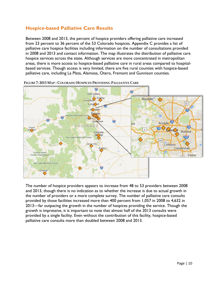### **Hospice-based Palliative Care Results**

Between 2008 and 2013, the percent of hospice providers offering palliative care increased from 23 percent to 36 percent of the 53 Colorado hospices. Appendix C provides a list of palliative care hospice facilities including information on the number of consultations provided in 2008 and 2013 and contact information. The map illustrates the distribution of palliative care hospice services across the state. Although services are more concentrated in metropolitan areas, there is more access to hospice-based palliative care in rural areas compared to hospitalbased services. Though access is very limited, there are five rural counties with hospice-based palliative care, including La Plata, Alamosa, Otero, Fremont and Gunnison counties.



**FIGURE 7: 2013 MAP - COLORADO HOSPICES PROVIDING PALLIATIVE CARE**

The number of hospice providers appears to increase from 48 to 53 providers between 2008 and 2013, though there is no indication as to whether the increase is due to actual growth in the number of providers or a more complete survey. The number of palliative care consults provided by those facilities increased more than 400 percent from 1,057 in 2008 to 4,632 in 2013—far outpacing the growth in the number of hospices providing the service. Though the growth is impressive, it is important to note that almost half of the 2013 consults were provided by a single facility. Even without the contribution of this facility, hospice-based palliative care consults more than doubled between 2008 and 2013.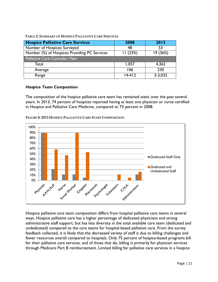**TABLE 2: SUMMARY OF HOSPICE PALLIATIVE CARE SERVICES**

| <b>Hospice Palliative Care Services</b>      | 2008     | 2013        |
|----------------------------------------------|----------|-------------|
| Number of Hospices Surveyed                  | 48       | 53          |
| Number (%) of Hospices Providing PC Services | 11(23%)  | 19(36%)     |
| Palliative Care Consults / Year              |          |             |
| Total                                        | 1,057    | 4,362       |
| Average                                      | 106      | 230         |
| Range                                        | $14-412$ | $3 - 2,032$ |

#### *Hospice Team Composition*

The composition of the hospice palliative care team has remained static over the past several years. In 2013, 74 percent of hospices reported having at least one physician or nurse certified in Hospice and Palliative Care Medicine, compared to 73 percent in 2008.



**FIGURE 8: 2013 HOSPICE PALLIATIVE CARE STAFF COMPOSITION**

Hospice palliative care team composition differs from hospital palliative care teams in several ways. Hospice palliative care has a higher percentage of dedicated physicians and strong administrative staff support, but has less diversity in the total available care team (dedicated and undedicated) compared to the care teams for hospital-based palliative care. From the survey feedback collected, it is likely that the decreased variety of staff is due to billing challenges and fewer resources overall compared to hospitals. Only 75 percent of hospice-based programs bill for their palliative care services, and of those that do, billing is primarily for physician services through Medicare Part B reimbursement. Limited billing for palliative care services in a hospice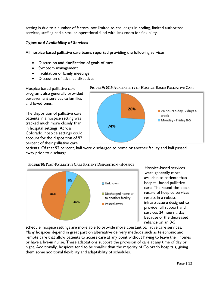setting is due to a number of factors, not limited to challenges in coding, limited authorized services, staffing and a smaller operational fund with less room for flexibility.

#### *Types and Availability of Services*

All hospice-based palliative care teams reported providing the following services:

- Discussion and clarification of goals of care
- Symptom management
- Facilitation of family meetings
- Discussion of advance directives

Hospice based palliative care programs also generally provided bereavement services to families and loved ones.

The disposition of palliative care patients in a hospice setting was tracked much more closely than in hospital settings. Across Colorado, hospice settings could account for the disposition of 92 percent of their palliative care

#### **FIGURE 9: 2013 AVAILABILITY OF HOSPICE-BASED PALLIATIVE CARE**



patients. Of that 92 percent, half were discharged to home or another facility and half passed away prior to discharge.



**FIGURE 10: POST-PALLIATIVE CARE PATIENT DISPOSITION - HOSPICE**

Hospice-based services were generally more available to patients than hospital-based palliative care. The round-the-clock nature of hospice services results in a robust infrastructure designed to provide full support and services 24 hours a day. Because of the decreased reliance on an 8-5

schedule, hospice settings are more able to provide more constant palliative care services. Many hospices depend in great part on alternative delivery methods such as telephonic and remote care that allow patients to access care at any point without having to leave their homes or have a live-in nurse. These adaptations support the provision of care at any time of day or night. Additionally, hospices tend to be smaller than the majority of Colorado hospitals, giving them some additional flexibility and adaptability of schedules.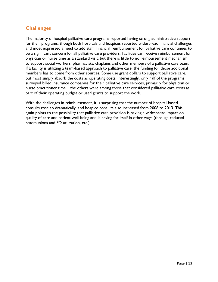### **Challenges**

The majority of hospital palliative care programs reported having strong administrative support for their programs, though both hospitals and hospices reported widespread financial challenges and most expressed a need to add staff. Financial reimbursement for palliative care continues to be a significant concern for all palliative care providers. Facilities can receive reimbursement for physician or nurse time as a standard visit, but there is little to no reimbursement mechanism to support social workers, pharmacists, chaplains and other members of a palliative care team. If a facility is utilizing a team-based approach to palliative care, the funding for those additional members has to come from other sources. Some use grant dollars to support palliative care, but most simply absorb the costs as operating costs. Interestingly, only half of the programs surveyed billed insurance companies for their palliative care services, primarily for physician or nurse practitioner time – the others were among those that considered palliative care costs as part of their operating budget or used grants to support the work.

With the challenges in reimbursement, it is surprising that the number of hospital-based consults rose so dramatically, and hospice consults also increased from 2008 to 2013. This again points to the possibility that palliative care provision is having a widespread impact on quality of care and patient well-being and is paying for itself in other ways (through reduced readmissions and ED utilization, etc.).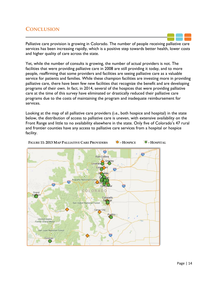### <span id="page-15-0"></span>**CONCLUSION**

Palliative care provision is growing in Colorado. The number of people receiving palliative care services has been increasing rapidly, which is a positive step towards better health, lower costs and higher quality of care across the state.

Yet, while the number of consults is growing, the number of actual providers is not. The facilities that were providing palliative care in 2008 are still providing it today, and to more people, reaffirming that some providers and facilities are seeing palliative care as a valuable service for patients and families. While these champion facilities are investing more in providing palliative care, there have been few new facilities that recognize the benefit and are developing programs of their own. In fact, in 2014, several of the hospices that were providing palliative care at the time of this survey have eliminated or drastically reduced their palliative care programs due to the costs of maintaining the program and inadequate reimbursement for services.

Looking at the map of all palliative care providers (i.e., both hospice and hospital) in the state below, the distribution of access to palliative care is uneven, with extensive availability on the Front Range and little to no availability elsewhere in the state. Only five of Colorado's 47 rural and frontier counties have any access to palliative care services from a hospital or hospice facility.

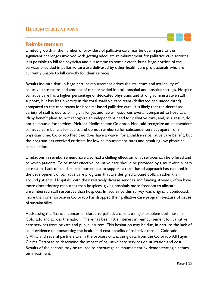### <span id="page-16-0"></span>**RECOMMENDATIONS**

#### **Reimbursement**

Limited growth in the number of providers of palliative care may be due in part to the significant challenges involved with getting adequate reimbursement for palliative care services. It is possible to bill for physician and nurse time to some extent, but a large portion of the services provided in palliative care are delivered by other health care professionals who are currently unable to bill directly for their services.

Results indicate that, in large part, reimbursement drives the structure and availability of palliative care teams and amount of care provided in both hospital and hospice settings. Hospice palliative care has a higher percentage of dedicated physicians and strong administrative staff support, but has less diversity in the total available care team (dedicated and undedicated) compared to the care teams for hospital-based palliative care. It is likely that the decreased variety of staff is due to billing challenges and fewer resources overall compared to hospitals. Many benefit plans to not recognize an independent need for palliative care, and, as a result, do not reimburse for services. Neither Medicare nor Colorado Medicaid recognize an independent palliative care benefit for adults and do not reimburse for substantial services apart from physician time. Colorado Medicaid does have a waiver for a children's palliative care benefit, but the program has received criticism for low reimbursement rates and resulting low physician participation.

Limitations in reimbursement have also had a chilling effect on what services can be offered and to which patients. To be most effective, palliative care should be provided by a multi-disciplinary care team. Lack of standard reimbursement to support a team-based approach has resulted in the development of palliative care programs that are designed around dollars rather than around patients. Hospitals, with their relatively diverse services and funding streams, often have more discretionary resources than hospices, giving hospitals more freedom to allocate unreimbursed staff resources than hospices. In fact, since this survey was originally conducted, more than one hospice in Colorado has dropped their palliative care program because of issues of sustainability.

Addressing the financial concerns related to palliative care is a major problem both here in Colorado and across the nation. There has been little interest in reimbursement for palliative care services from private and public insurers. This hesitation may be due, in part, to the lack of solid evidence demonstrating the health and cost benefits of palliative care. In Colorado, CIVHC and several partners are in the process of analyzing data from the Colorado All Payer Claims Database to determine the impact of palliative care services on utilization and cost. Results of the analysis may be utilized to encourage reimbursement by demonstrating a return on investment.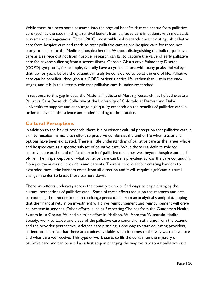While there has been some research into the physical benefits that can accrue from palliative care (such as the study finding a survival benefit from palliative care in patients with metastatic non-small-cell-lung-cancer; Temel, 2010), most published research doesn't distinguish palliative care from hospice care and tends to treat palliative care as pre-hospice care for those not ready to qualify for the Medicare hospice benefit. Without distinguishing the bulk of palliative care as a service distinct from hospice, research can fail to capture the value of early palliative care for anyone suffering from a severe illness. Chronic Obstructive Pulmonary Disease (COPD) symptoms, for example, typically have a cyclical nature with many peaks and valleys that last for years before the patient can truly be considered to be at the end of life. Palliative care can be beneficial throughout a COPD patient's entire life, rather than just in the endstages, and it is in this interim role that palliative care is under-researched.

In response to this gap in data, the National Institute of Nursing Research has helped create a Palliative Care Research Collective at the University of Colorado at Denver and Duke University to support and encourage high quality research on the benefits of palliative care in order to advance the science and understanding of the practice.

### **Cultural Perceptions**

In addition to the lack of research, there is a persistent cultural perception that palliative care is akin to hospice – a last ditch effort to preserve comfort at the end of life when treatment options have been exhausted. There is little understanding of palliative care as the larger whole and hospice care as a specific sub-set of palliative care. While there is a definite role for palliative care at the end of life, the reach of palliative care goes well beyond hospice and endof-life. The misperception of what palliative care can be is prevalent across the care continuum, from policy-makers to providers and patients. There is no one sector creating barriers to expanded care – the barriers come from all direction and it will require significant cultural change in order to break those barriers down.

There are efforts underway across the country to try to find ways to begin changing the cultural perceptions of palliative care. Some of these efforts focus on the research and data surrounding the practice and aim to change perceptions from an analytical standpoint, hoping that the financial return on investment will drive reimbursement and reimbursement will drive an increase in services. Other efforts, such as Respecting Choices from the Gundersen Health System in La Crosse, WI and a similar effort in Madison, WI from the Wisconsin Medical Society, work to tackle one piece of the palliative care conundrum at a time from the patient and the provider perspective. Advance care planning is one way to start educating providers, patients and families that there are choices available when it comes to the way we receive care and what care we receive. This type of work starts to lift the curtain on the mystery of palliative care and can be used as a first step in changing the way we talk about palliative care.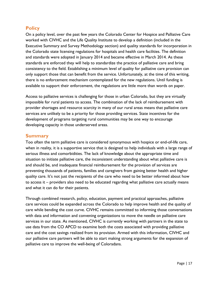### **Policy**

On a policy level, over the past few years the Colorado Center for Hospice and Palliative Care worked with CIVHC and the Life Quality Institute to develop a definition (included in the Executive Summary and Survey Methodology section) and quality standards for incorporation in the Colorado state licensing regulations for hospitals and health care facilities. The definition and standards were adopted in January 2014 and became effective in March 2014. As these standards are enforced they will help to standardize the practice of palliative care and bring consistency to the field. Establishing a minimum level of quality for palliative care provision can only support those that can benefit from the service. Unfortunately, at the time of this writing, there is no enforcement mechanism contemplated for the new regulations. Until funding is available to support their enforcement, the regulations are little more than words on paper.

Access to palliative services is challenging for those in urban Colorado, but they are virtually impossible for rural patients to access. The combination of the lack of reimbursement with provider shortages and resource scarcity in many of our rural areas means that palliative care services are unlikely to be a priority for those providing services. State incentives for the development of programs targeting rural communities may be one way to encourage developing capacity in those underserved areas.

#### **Summary**

Too often the term palliative care is considered synonymous with hospice or end-of-life care, when in reality, it is a supportive service that is designed to help individuals with a large range of serious illness and comorbidities. The lack of knowledge about the appropriate time and situation to initiate palliative care, the inconsistent understanding about what palliative care is and should be, and inadequate financial reimbursement for the provision of services are preventing thousands of patients, families and caregivers from gaining better health and higher quality care. It's not just the recipients of the care who need to be better informed about how to access it – providers also need to be educated regarding what palliative care actually means and what it can do for their patients.

Through combined research, policy, education, payment and practical approaches, palliative care services could be expanded across the Colorado to help improve health and the quality of care while bending the cost curve. CIVHC remains committed to informing those conversations with data and information and convening organizations to move the needle on palliative care services in our state. As mentioned, CIVHC is currently working with partners in the state to use data from the CO APCD to examine both the costs associated with providing palliative care and the cost savings realized from its provision. Armed with this information, CIVHC and our palliative care partners will be able to start making strong arguments for the expansion of palliative care to improve the well-being of Coloradans.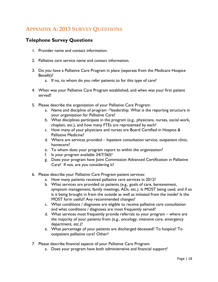### <span id="page-19-0"></span>**APPENDIX A: 2013 SURVEY QUESTIONS**

### **Telephone Survey Questions**

- 1. Provider name and contact information.
- 2. Palliative care service name and contact information.
- 3. Do you have a Palliative Care Program in place (separate from the Medicare Hospice Benefit)?
	- a. If no, to whom do you refer patients to for this type of care?
- 4. When was your Palliative Care Program established, and when was your first patient served?
- 5. Please describe the organization of your Palliative Care Program:
	- a. Name and discipline of program -\*leadership. What is the reporting structure in your organization for Palliative Care?
	- b. What disciplines participate in the program (e.g., physicians, nurses, social work, chaplain, etc.), and how many FTEs are represented by each?
	- c. How many of your physicians and nurses are Board Certified in Hospice & Palliative Medicine?
	- d. Where are services provided Inpatient consultation service, outpatient clinic, homecare?
	- e. To whom does your program report to within the organization?
	- f. Is your program available 24/7/365?
	- g. Does your program have Joint Commission Advanced Certification in Palliative Care? If not, are you considering it?
- 6. Please describe your Palliative Care Program patient services:
	- a. How many patients received palliative care services in 2012?
	- b. What services are provided to patients (e.g., goals of care, bereavement, symptom management, family meetings, ADs, etc.). Is MOST being used, and if so is it being brought in from the outside as well as initiated from the inside? Is the MOST form useful? Any recommended changes?
	- c. What conditions / diagnoses are eligible to receive palliative care consultation and what conditions / diagnoses are most frequently served?
	- d. What services most frequently provide referrals to your program where are the majority of your patients from (e.g., oncology, intensive care, emergency department, etc.)?
	- e. What percentage of your patients are discharged deceased? To hospice? To outpatient palliative care? Other?
- 7. Please describe financial aspects of your Palliative Care Program:
	- a. Does your program have both administrative and financial support?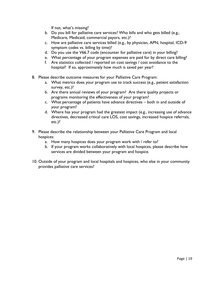If not, what's missing?

- b. Do you bill for palliative care services? Who bills and who gets billed (e.g., Medicare, Medicaid, commercial payors, etc.)?
- c. How are palliative care services billed (e.g., by physician, APN, hospital, ICD-9 symptom codes vs. billing by time)?
- d. Do you use the V66.7 code (encounter for palliative care) in your billing?
- e. What percentage of your program expenses are paid for by direct care billing?
- f. Are statistics collected / reported on cost savings / cost avoidance to the hospital? If so, approximately how much is saved per year?
- 8. Please describe outcome measures for your Palliative Care Program:
	- a. What metrics does your program use to track success (e.g., patient satisfaction survey, etc.)?
	- b. Are there annual reviews of your program? Are there quality projects or programs monitoring the effectiveness of your program?
	- c. What percentage of patients have advance directives both in and outside of your program?
	- d. Where has your program had the greatest impact (e.g., increasing use of advance directives, decreased critical care LOS, cost savings, increased hospice referrals, etc.)?
- 9. Please describe the relationship between your Palliative Care Program and local hospices:
	- a. How many hospices does your program work with / refer to?
	- b. If your program works collaboratively with local hospices, please describe how services are divided between your program and hospice.
- 10. Outside of your program and local hospitals and hospices, who else in your community provides palliative care services?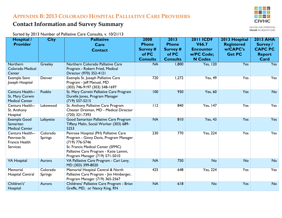### **APPENDIX B: 2013 COLORADO HOSPITAL PALLIATIVE CARE PROVIDERS**

# -61 **CIVHC**

CENTER FOR IMPROVING **VALUE IN HEALTH CARE** 

Sorted by 2013 Number of Palliative Care Consults, v. 10/21/13

**Contact Information and Survey Summary** 

<span id="page-21-0"></span>

| Hospital /                | <b>City</b>    | <b>Palliative</b>                                                                 | 2008                     | 2013                     | <b>2011 ICD9</b>             | 2013 Hospital     | <b>2013 AHA</b>       |
|---------------------------|----------------|-----------------------------------------------------------------------------------|--------------------------|--------------------------|------------------------------|-------------------|-----------------------|
| <b>Provider</b>           |                | Care                                                                              | <b>Phone</b>             | <b>Phone</b>             | V66.7                        | <b>Registered</b> | <b>Survey</b> /       |
|                           |                | <b>Contact</b>                                                                    | Survey #                 | Survey #                 | <b>Encounter</b>             | w/CAPC's          | <b>CAPC PC</b>        |
|                           |                |                                                                                   | of PC<br><b>Consults</b> | of PC<br><b>Consults</b> | w/PC Code;<br><b>N Codes</b> | <b>Get PC</b>     | <b>Report</b><br>Card |
| Northern                  | Greeley        | Northern Colorado Palliative Care                                                 | <b>NA</b>                | 1,800                    | <b>Yes, 120</b>              | Yes               | Yes                   |
| Colorado Medical          |                | Program - Robert Fried, Medical                                                   |                          |                          |                              |                   |                       |
| Center                    |                | Director (970) 352-4121                                                           |                          |                          |                              |                   |                       |
| Exempla Saint             | Denver         | Exempla St. Joseph Palliative Care                                                | 720                      | 1,272                    | <b>Yes, 49</b>               | <b>Yes</b>        | Yes                   |
| Joseph Hospital           |                | Program - Jeff Manuel, MD<br>(303) 746-9197 (303) 548-1697                        |                          |                          |                              |                   |                       |
| Centura Health--          | Pueblo         | St. Mary Corwin Palliative Care Program                                           | 100                      | 930                      | <b>Yes, 60</b>               | Yes               | <b>No</b>             |
| St. Mary Corwin           |                | Durelle Jones, Program Manager                                                    |                          |                          |                              |                   |                       |
| <b>Medical Center</b>     |                | $(719)$ 557-5215                                                                  |                          |                          |                              |                   |                       |
| Centura Health--          | Lakewood       | St. Anthony Palliative Care Program                                               | $\overline{112}$         | 840                      | <b>Yes, 147</b>              | <b>Yes</b>        | Yes                   |
| St. Anthony               |                | Chester Dreiman, MD - Medical Director                                            |                          |                          |                              |                   |                       |
| Hospital                  |                | (720) 321-7393                                                                    | <b>NA</b>                | 810                      | <b>Yes, 43</b>               | Yes               | <b>Yes</b>            |
| Exempla Good<br>Samaritan | Lafayette      | Good Samaritan Palliative Care Program<br>Tiffany Malin, Social Worker (303) 689- |                          |                          |                              |                   |                       |
| <b>Medical Center</b>     |                | 5253                                                                              |                          |                          |                              |                   |                       |
| Centura Health--          | Colorado       | Penrose Hospital (PH) Palliative Care                                             | 230                      | 770                      | <b>Yes, 224</b>              | <b>Yes</b>        | Yes                   |
| Penrose-St.               | <b>Springs</b> | Program - Ginny Davis, Program Manager                                            |                          |                          |                              |                   |                       |
| Francis Health            |                | $(719)$ 776-5746                                                                  |                          |                          |                              |                   |                       |
| <b>Services</b>           |                | St. Francis Medical Center (SFMC)<br>Palliative Care Program - Katie Lammi,       |                          |                          |                              |                   |                       |
|                           |                | Program Manager (719) 571-5010                                                    |                          |                          |                              |                   |                       |
| <b>VA Hospital</b>        | Aurora         | VA Palliative Care Program - Cari Levy,                                           | <b>NA</b>                | 750                      | <b>No</b>                    | <b>No</b>         | <b>No</b>             |
|                           |                | MD (303) 399-8020                                                                 |                          |                          |                              |                   |                       |
| Memorial                  | Colorado       | Memorial Hospital Central & North                                                 | 425                      | 648                      | Yes, 224                     | Yes               | Yes                   |
| Hospital Central          | <b>Springs</b> | Palliative Care Program - Jim Himberger,                                          |                          |                          |                              |                   |                       |
| Children's'               |                | Program Manager (719) 365-2567                                                    |                          | 618                      |                              | Yes               |                       |
| Hospital                  | Aurora         | Childrens' Palliative Care Program - Brian<br>Greffe, MD, or Nancy King, RN       | <b>NA</b>                |                          | <b>No</b>                    |                   | <b>No</b>             |
|                           |                |                                                                                   |                          |                          |                              |                   |                       |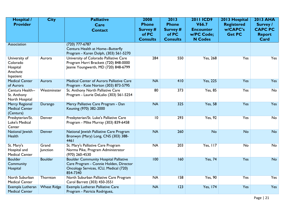| Hospital /<br><b>Provider</b>                                  | <b>City</b>        | <b>Palliative</b><br>Care<br><b>Contact</b>                                                                                                 | 2008<br><b>Phone</b><br><b>Survey #</b><br>of PC<br><b>Consults</b> | 2013<br><b>Phone</b><br>Survey #<br>of PC<br><b>Consults</b> | <b>2011 ICD9</b><br>V66.7<br><b>Encounter</b><br>w/PC Code;<br><b>N Codes</b> | 2013 Hospital<br><b>Registered</b><br>w/CAPC's<br><b>Get PC</b> | <b>2013 AHA</b><br><b>Survey</b> /<br><b>CAPC PC</b><br><b>Report</b><br>Card |
|----------------------------------------------------------------|--------------------|---------------------------------------------------------------------------------------------------------------------------------------------|---------------------------------------------------------------------|--------------------------------------------------------------|-------------------------------------------------------------------------------|-----------------------------------------------------------------|-------------------------------------------------------------------------------|
| Association                                                    |                    | $(720)$ 777-6787<br>Centura Health at Home--Butterfly<br>Program - Karen Dolph, (303) 561-5270                                              |                                                                     |                                                              |                                                                               |                                                                 |                                                                               |
| University of<br>Colorado<br>Hospital<br>Anschutz<br>Inpatient | Aurora             | University of Colorado Palliative Care<br>Program Harri Brackett (720) 848-0000<br>Jeanie Youngwerth, MD (720) 848-6799                     | 284                                                                 | 550                                                          | <b>Yes, 268</b>                                                               | <b>Yes</b>                                                      | Yes                                                                           |
| <b>Medical Center</b><br>of Aurora                             | Aurora             | Medical Center of Aurora Palliative Care<br>Program - Kate Norton (303) 873-5795                                                            | <b>NA</b>                                                           | 410                                                          | <b>Yes, 225</b>                                                               | Yes                                                             | Yes                                                                           |
| Centura Health--<br>St. Anthony<br>North Hospital              | Westminster        | St. Anthony North Palliative Care<br>Program - Laurie DeLalio (303) 561-5254                                                                | 80                                                                  | 373                                                          | <b>Yes, 85</b>                                                                | <b>Yes</b>                                                      | No                                                                            |
| Mercy Regional<br><b>Medical Center</b><br>(Centura)           | Durango            | Mercy Palliative Care Program - Dan<br>Keuning (970) 382-2000                                                                               | <b>NA</b>                                                           | 325                                                          | <b>Yes, 58</b>                                                                | Yes                                                             | <b>Yes</b>                                                                    |
| Presbyterian/St.<br>Luke's Medical<br>Center                   | Denver             | Presbyterian/St. Luke's Palliative Care<br>Program - Mike Murray (303) 839-6458                                                             | $\overline{10}$                                                     | 293                                                          | <b>Yes, 92</b>                                                                | <b>Yes</b>                                                      | No                                                                            |
| National Jewish<br>Health                                      | Denver             | National Jewish Palliative Care Program<br>Bronwyn (Mary) Long, CNS (303) 388-<br>4461                                                      | <b>NA</b>                                                           | 260                                                          | <b>No</b>                                                                     | <b>No</b>                                                       | <b>No</b>                                                                     |
| St. Mary's<br>Hospital and<br><b>Medical Center</b>            | Grand<br>Junction  | St. Mary's Palliative Care Program<br>Norma Pike, Program Administrator<br>(970) 260-4530                                                   | <b>NA</b>                                                           | 203                                                          | Yes, 117                                                                      | No                                                              | No                                                                            |
| <b>Boulder</b><br>Community<br>Hospital                        | <b>Boulder</b>     | <b>Boulder Community Hospital Palliative</b><br>Care Program - Connie Holden, Director<br>Oncology Services, ICU, Medical (720)<br>854-7340 | 100                                                                 | 160                                                          | <b>Yes, 74</b>                                                                | Yes                                                             | <b>No</b>                                                                     |
| North Suburban<br><b>Medical Center</b>                        | Thornton           | North Suburban Palliative Care Program<br>Carol Barrett (303) 450-3551                                                                      | NA                                                                  | 158                                                          | <b>Yes, 90</b>                                                                | <b>Yes</b>                                                      | Yes                                                                           |
| Exempla Lutheran<br><b>Medical Center</b>                      | <b>Wheat Ridge</b> | Exempla Lutheran Palliative Care<br>Program - Patricia Rodriguez,                                                                           | <b>NA</b>                                                           | 123                                                          | <b>Yes, 174</b>                                                               | Yes                                                             | Yes                                                                           |

Page | 21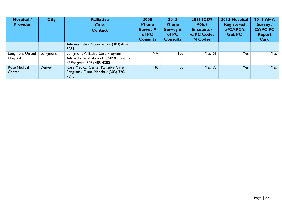| Hospital /<br><b>Provider</b> | <b>City</b> | <b>Palliative</b><br>Care<br><b>Contact</b>                                                           | 2008<br><b>Phone</b><br>Survey #<br>of PC<br><b>Consults</b> | 2013<br><b>Phone</b><br>Survey #<br>of PC<br><b>Consults</b> | <b>2011 ICD9</b><br>V66.7<br><b>Encounter</b><br>w/PC Code;<br><b>N</b> Codes | 2013 Hospital<br><b>Registered</b><br>w/CAPC's<br><b>Get PC</b> | <b>2013 AHA</b><br><b>Survey</b> /<br><b>CAPC PC</b><br><b>Report</b><br>Card |
|-------------------------------|-------------|-------------------------------------------------------------------------------------------------------|--------------------------------------------------------------|--------------------------------------------------------------|-------------------------------------------------------------------------------|-----------------------------------------------------------------|-------------------------------------------------------------------------------|
|                               |             | Administrative Coordinator (303) 403-<br>7281                                                         |                                                              |                                                              |                                                                               |                                                                 |                                                                               |
| Longmont United<br>Hospital   | Longmont    | Longmont Palliative Care Program<br>Adrian Edwards-Goodby, NP & Director<br>of Program (303) 485-4380 | <b>NA</b>                                                    | 100                                                          | Yes, 51                                                                       | Yes                                                             | Yes                                                                           |
| <b>Rose Medical</b><br>Center | Denver      | Rose Medical Center Palliative Care<br>Program - Diana Manchak (303) 320-<br>7398                     | 30                                                           | 50                                                           | <b>Yes, 73</b>                                                                | Yes                                                             | <b>Yes</b>                                                                    |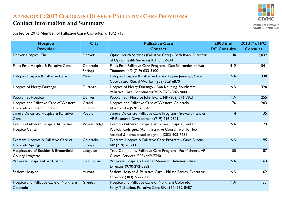### **APPENDIX C: 2013 COLORADO HOSPICE PALLIATIVE CARE PROVIDERS**

### **Contact Information and Summary**

Sorted by 2013 Number of Palliative Care Consults, v. 10/21/13

<span id="page-24-0"></span>

| <b>Hospice</b>                          | <b>City</b>         | <b>Palliative Care</b>                                        | 2008 # of          | 2013 # of PC    |
|-----------------------------------------|---------------------|---------------------------------------------------------------|--------------------|-----------------|
| <b>Provider</b>                         |                     | <b>Contact</b>                                                | <b>PC Consults</b> | <b>Consults</b> |
| Denver Hospice, The                     | Denver              | Optio Health Services (Palliative Care) - Beth Ryan, Director | 140                | 2,032           |
|                                         |                     | of Optio Health Services(303) 398-6241                        |                    |                 |
| Pikes Peak Hospice & Palliative Care    | Colorado            | Pikes Peak Palliative Care Program - Dan Schroeder or Nat     | 412                | 541             |
|                                         | <b>Springs</b>      | Timmons, MD (719) 633-3400                                    |                    |                 |
| Halcyon Hospice & Palliative Care       | Mead                | Halcyon Hospice & Palliative Care - Kaylee Jennings, Care     | <b>NA</b>          | 330             |
|                                         |                     | Coordinator/Social Worker (303) 329-6870                      |                    |                 |
| Hospice of Mercy-Durango                | Durango             | Hospice of Mercy Durango - Dan Keuning, Southstate            | <b>NA</b>          | 320             |
|                                         |                     | Palliative Care Coordinator/APN(970) 382-2000                 |                    |                 |
| Peoplefirst Hospice                     | Denver              | Peoplefirst - Hospice John Evans, NP (303) 546-7921           | <b>NA</b>          | 255             |
| Hospice and Palliative Care of Western  | Grand               | Hospice and Palliative Care of Western Colorado               | 176                | 203             |
| Colorado of Grand Junction              | Junction            | Norma Pike (970) 260-4530                                     |                    |                 |
| Sangre De Cristo Hospice & Palliative   | Pueblo              | Sangre De Cristo Palliative Care Program - Stewart Francies,  | 4                  | 135             |
| Care                                    |                     | VP Resource Development (719) 296-2601                        |                    |                 |
| Exempla Lutheran Hospice At Collier     | <b>Wheat Ridge</b>  | Exempla Lutheran Hospice at Collier Hospice Center            | <b>NA</b>          | 123             |
| <b>Hospice Center</b>                   |                     | Patricia Rodriguez (Administrative Coordinator for both       |                    |                 |
|                                         |                     | hospital & home based program) (303) 403-7281                 |                    |                 |
| Evercare Hospice & Palliative Care of   | Colorado            | Evercare Hospice & Palliative Care Program - Ginia Burdick,   | <b>NA</b>          | 95              |
| Colorado Springs                        | <b>Springs</b>      | NP (719) 265-1100                                             |                    |                 |
| Hospicecare of Boulder & Broomfield     | Lafayette           | True Community Palliative Care Program - Pat Mehnert, VP      | 55                 | 87              |
| County Lafayette                        |                     | Clinical Services (303) 449-7740                              |                    |                 |
| Pathways Hospice--Fort Collins          | <b>Fort Collins</b> | Pathways Hospice - Heather Steenrod, Administrative           | <b>NA</b>          | 63              |
|                                         |                     | Director (970) 292-0882                                       |                    |                 |
| Shalom Hospice                          | Aurora              | Shalom Hospice & Palliative Care - Milissa Barres, Executive  | <b>NA</b>          | 62              |
|                                         |                     | Director (303) 766-7600                                       |                    |                 |
| Hospice and Palliative Care of Northern | Greeley             | Hospice and Palliative Care of Northern Colorado              | <b>NA</b>          | 30              |
| Colorado                                |                     | Stacy Tull-Leino, Palliative Care RN (970) 352-8487           |                    |                 |



CENTER FOR IMPROVING **VALUE IN HEALTH CARE**